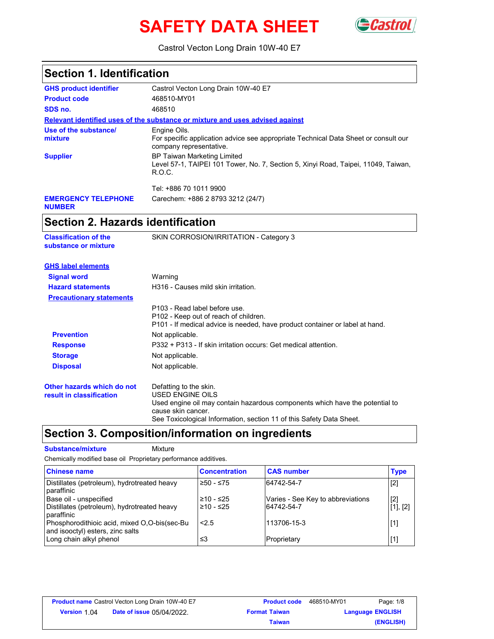# **SAFETY DATA SHEET** GCastro



Castrol Vecton Long Drain 10W-40 E7

| <b>Section 1. Identification</b>                                                                                                                                                                                                |
|---------------------------------------------------------------------------------------------------------------------------------------------------------------------------------------------------------------------------------|
| Castrol Vecton Long Drain 10W-40 E7                                                                                                                                                                                             |
| 468510-MY01                                                                                                                                                                                                                     |
| 468510                                                                                                                                                                                                                          |
| Relevant identified uses of the substance or mixture and uses advised against                                                                                                                                                   |
| Engine Oils.<br>For specific application advice see appropriate Technical Data Sheet or consult our<br>company representative.                                                                                                  |
| <b>BP Taiwan Marketing Limited</b><br>Level 57-1, TAIPEI 101 Tower, No. 7, Section 5, Xinyi Road, Taipei, 11049, Taiwan,<br>R.O.C.                                                                                              |
| Tel: +886 70 1011 9900                                                                                                                                                                                                          |
| Carechem: +886 2 8793 3212 (24/7)                                                                                                                                                                                               |
| <b>Section 2. Hazards identification</b>                                                                                                                                                                                        |
| SKIN CORROSION/IRRITATION - Category 3                                                                                                                                                                                          |
|                                                                                                                                                                                                                                 |
| Warning                                                                                                                                                                                                                         |
| H316 - Causes mild skin irritation.                                                                                                                                                                                             |
|                                                                                                                                                                                                                                 |
| P103 - Read label before use.<br>P102 - Keep out of reach of children.<br>P101 - If medical advice is needed, have product container or label at hand.                                                                          |
| Not applicable.                                                                                                                                                                                                                 |
| P332 + P313 - If skin irritation occurs: Get medical attention.                                                                                                                                                                 |
| Not applicable.                                                                                                                                                                                                                 |
| Not applicable.                                                                                                                                                                                                                 |
| Defatting to the skin.<br><b>USED ENGINE OILS</b><br>Used engine oil may contain hazardous components which have the potential to<br>cause skin cancer.<br>See Toxicological Information, section 11 of this Safety Data Sheet. |
|                                                                                                                                                                                                                                 |

### **Section 3. Composition/information on ingredients**

**Substance/mixture Mixture** 

Chemically modified base oil Proprietary performance additives.

| <b>Chinese name</b>                                                                 | <b>Concentration</b>     | <b>CAS number</b>                               | <b>Type</b>       |
|-------------------------------------------------------------------------------------|--------------------------|-------------------------------------------------|-------------------|
| Distillates (petroleum), hydrotreated heavy<br>paraffinic                           | 1≥50 - ≤75               | 64742-54-7                                      | $[2]$             |
| Base oil - unspecified<br>Distillates (petroleum), hydrotreated heavy<br>paraffinic | 210 - ≤25<br>$≥10 - ≤25$ | Varies - See Key to abbreviations<br>64742-54-7 | $[2]$<br>[1], [2] |
| Phosphorodithioic acid, mixed O,O-bis(sec-Bu<br>and isooctyl) esters, zinc salts    | 2.5                      | 113706-15-3                                     | $[1]$             |
| Long chain alkyl phenol                                                             | ≤3                       | Proprietary                                     | $[1]$             |

|                     | <b>Product name</b> Castrol Vecton Long Drain 10W-40 E7 | <b>Product code</b>  | 468510-MY01 | Page: 1/8               |
|---------------------|---------------------------------------------------------|----------------------|-------------|-------------------------|
| <b>Version 1 04</b> | <b>Date of issue 05/04/2022.</b>                        | <b>Format Taiwan</b> |             | <b>Language ENGLISH</b> |
|                     |                                                         | Taiwan               |             | (ENGLISH)               |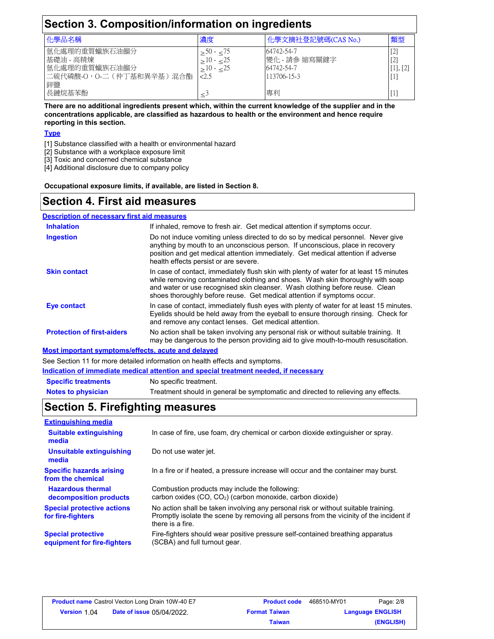| Section 3. Composition/information on ingredients                              |                                      |                                                          |                                 |  |
|--------------------------------------------------------------------------------|--------------------------------------|----------------------------------------------------------|---------------------------------|--|
| 化學品名稱<br>化學文摘社登記號碼(CAS No.)<br>類型<br>濃度                                        |                                      |                                                          |                                 |  |
| 氫化處理的重質蠟族石油餾分<br>基礎油 - 高精煉<br>氫化處理的重質蠟族石油餾分<br> 二硫代磷酸-O,O-二(仲丁基和異辛基)混合酯 <br>鋅鹽 | $> 50 - 75$<br>$\geq 10 - 25$<br>2.5 | 64742-54-7<br>變化 - 請參 縮寫關鍵字<br>64742-54-7<br>113706-15-3 | $[2]$<br>[2]<br>[1], [2]<br>LI. |  |
| 長鏈烷基苯酚                                                                         |                                      | 專利                                                       | LL.                             |  |

**There are no additional ingredients present which, within the current knowledge of the supplier and in the concentrations applicable, are classified as hazardous to health or the environment and hence require reporting in this section.**

#### **Type**

- [1] Substance classified with a health or environmental hazard
- [2] Substance with a workplace exposure limit
- [3] Toxic and concerned chemical substance
- [4] Additional disclosure due to company policy

**Occupational exposure limits, if available, are listed in Section 8.**

#### **Section 4. First aid measures**

#### **Description of necessary first aid measures**

| <b>Inhalation</b>                                  | If inhaled, remove to fresh air. Get medical attention if symptoms occur.                                                                                                                                                                                                                                                            |
|----------------------------------------------------|--------------------------------------------------------------------------------------------------------------------------------------------------------------------------------------------------------------------------------------------------------------------------------------------------------------------------------------|
| <b>Ingestion</b>                                   | Do not induce vomiting unless directed to do so by medical personnel. Never give<br>anything by mouth to an unconscious person. If unconscious, place in recovery<br>position and get medical attention immediately. Get medical attention if adverse<br>health effects persist or are severe.                                       |
| <b>Skin contact</b>                                | In case of contact, immediately flush skin with plenty of water for at least 15 minutes<br>while removing contaminated clothing and shoes. Wash skin thoroughly with soap<br>and water or use recognised skin cleanser. Wash clothing before reuse. Clean<br>shoes thoroughly before reuse. Get medical attention if symptoms occur. |
| Eye contact                                        | In case of contact, immediately flush eyes with plenty of water for at least 15 minutes.<br>Eyelids should be held away from the eyeball to ensure thorough rinsing. Check for<br>and remove any contact lenses. Get medical attention.                                                                                              |
| <b>Protection of first-aiders</b>                  | No action shall be taken involving any personal risk or without suitable training. It<br>may be dangerous to the person providing aid to give mouth-to-mouth resuscitation.                                                                                                                                                          |
| Most important symptoms/effects, acute and delayed |                                                                                                                                                                                                                                                                                                                                      |

See Section 11 for more detailed information on health effects and symptoms.

**Indication of immediate medical attention and special treatment needed, if necessary**

**Specific treatments** No specific treatment.

**Notes to physician** Treatment should in general be symptomatic and directed to relieving any effects.

### **Section 5. Firefighting measures**

| <b>Extinguishing media</b>                               |                                                                                                                                                                                                   |
|----------------------------------------------------------|---------------------------------------------------------------------------------------------------------------------------------------------------------------------------------------------------|
| <b>Suitable extinguishing</b><br>media                   | In case of fire, use foam, dry chemical or carbon dioxide extinguisher or spray.                                                                                                                  |
| Unsuitable extinguishing<br>media                        | Do not use water jet.                                                                                                                                                                             |
| <b>Specific hazards arising</b><br>from the chemical     | In a fire or if heated, a pressure increase will occur and the container may burst.                                                                                                               |
| <b>Hazardous thermal</b><br>decomposition products       | Combustion products may include the following:<br>carbon oxides (CO, CO <sub>2</sub> ) (carbon monoxide, carbon dioxide)                                                                          |
| <b>Special protective actions</b><br>for fire-fighters   | No action shall be taken involving any personal risk or without suitable training.<br>Promptly isolate the scene by removing all persons from the vicinity of the incident if<br>there is a fire. |
| <b>Special protective</b><br>equipment for fire-fighters | Fire-fighters should wear positive pressure self-contained breathing apparatus<br>(SCBA) and full turnout gear.                                                                                   |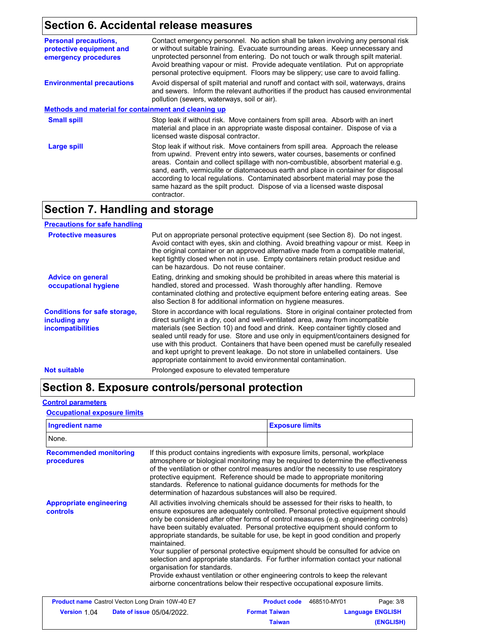# **Section 6. Accidental release measures**

| Contact emergency personnel. No action shall be taken involving any personal risk<br>or without suitable training. Evacuate surrounding areas. Keep unnecessary and<br>unprotected personnel from entering. Do not touch or walk through spilt material.<br>Avoid breathing vapour or mist. Provide adequate ventilation. Put on appropriate<br>personal protective equipment. Floors may be slippery; use care to avoid falling.                                                                                        |
|--------------------------------------------------------------------------------------------------------------------------------------------------------------------------------------------------------------------------------------------------------------------------------------------------------------------------------------------------------------------------------------------------------------------------------------------------------------------------------------------------------------------------|
| Avoid dispersal of spilt material and runoff and contact with soil, waterways, drains<br>and sewers. Inform the relevant authorities if the product has caused environmental<br>pollution (sewers, waterways, soil or air).                                                                                                                                                                                                                                                                                              |
| Methods and material for containment and cleaning up                                                                                                                                                                                                                                                                                                                                                                                                                                                                     |
| Stop leak if without risk. Move containers from spill area. Absorb with an inert<br>material and place in an appropriate waste disposal container. Dispose of via a<br>licensed waste disposal contractor.                                                                                                                                                                                                                                                                                                               |
| Stop leak if without risk. Move containers from spill area. Approach the release<br>from upwind. Prevent entry into sewers, water courses, basements or confined<br>areas. Contain and collect spillage with non-combustible, absorbent material e.g.<br>sand, earth, vermiculite or diatomaceous earth and place in container for disposal<br>according to local regulations. Contaminated absorbent material may pose the<br>same hazard as the spilt product. Dispose of via a licensed waste disposal<br>contractor. |
|                                                                                                                                                                                                                                                                                                                                                                                                                                                                                                                          |

### **Section 7. Handling and storage**

| <b>Precautions for safe handling</b>                                             |                                                                                                                                                                                                                                                                                                                                                                                                                                                                                                                                                                                                |
|----------------------------------------------------------------------------------|------------------------------------------------------------------------------------------------------------------------------------------------------------------------------------------------------------------------------------------------------------------------------------------------------------------------------------------------------------------------------------------------------------------------------------------------------------------------------------------------------------------------------------------------------------------------------------------------|
| <b>Protective measures</b>                                                       | Put on appropriate personal protective equipment (see Section 8). Do not ingest.<br>Avoid contact with eyes, skin and clothing. Avoid breathing vapour or mist. Keep in<br>the original container or an approved alternative made from a compatible material,<br>kept tightly closed when not in use. Empty containers retain product residue and<br>can be hazardous. Do not reuse container.                                                                                                                                                                                                 |
| <b>Advice on general</b><br>occupational hygiene                                 | Eating, drinking and smoking should be prohibited in areas where this material is<br>handled, stored and processed. Wash thoroughly after handling. Remove<br>contaminated clothing and protective equipment before entering eating areas. See<br>also Section 8 for additional information on hygiene measures.                                                                                                                                                                                                                                                                               |
| <b>Conditions for safe storage,</b><br>including any<br><i>incompatibilities</i> | Store in accordance with local regulations. Store in original container protected from<br>direct sunlight in a dry, cool and well-ventilated area, away from incompatible<br>materials (see Section 10) and food and drink. Keep container tightly closed and<br>sealed until ready for use. Store and use only in equipment/containers designed for<br>use with this product. Containers that have been opened must be carefully resealed<br>and kept upright to prevent leakage. Do not store in unlabelled containers. Use<br>appropriate containment to avoid environmental contamination. |
| <b>Not suitable</b>                                                              | Prolonged exposure to elevated temperature                                                                                                                                                                                                                                                                                                                                                                                                                                                                                                                                                     |

### **Section 8. Exposure controls/personal protection**

#### **Control parameters**

#### **Occupational exposure limits**

| <b>Ingredient name</b>                                  |                                                                                                                                                                                                                                                                                                                                                                                                                                                                                     |                      | <b>Exposure limits</b> |                         |
|---------------------------------------------------------|-------------------------------------------------------------------------------------------------------------------------------------------------------------------------------------------------------------------------------------------------------------------------------------------------------------------------------------------------------------------------------------------------------------------------------------------------------------------------------------|----------------------|------------------------|-------------------------|
| None.                                                   |                                                                                                                                                                                                                                                                                                                                                                                                                                                                                     |                      |                        |                         |
| <b>Recommended monitoring</b><br>procedures             | If this product contains ingredients with exposure limits, personal, workplace<br>atmosphere or biological monitoring may be required to determine the effectiveness<br>of the ventilation or other control measures and/or the necessity to use respiratory<br>protective equipment. Reference should be made to appropriate monitoring<br>standards. Reference to national quidance documents for methods for the<br>determination of hazardous substances will also be required. |                      |                        |                         |
| <b>Appropriate engineering</b><br><b>controls</b>       | All activities involving chemicals should be assessed for their risks to health, to<br>ensure exposures are adequately controlled. Personal protective equipment should<br>only be considered after other forms of control measures (e.g. engineering controls)<br>have been suitably evaluated. Personal protective equipment should conform to<br>appropriate standards, be suitable for use, be kept in good condition and properly<br>maintained.                               |                      |                        |                         |
|                                                         | Your supplier of personal protective equipment should be consulted for advice on<br>selection and appropriate standards. For further information contact your national<br>organisation for standards.                                                                                                                                                                                                                                                                               |                      |                        |                         |
|                                                         | Provide exhaust ventilation or other engineering controls to keep the relevant<br>airborne concentrations below their respective occupational exposure limits.                                                                                                                                                                                                                                                                                                                      |                      |                        |                         |
| <b>Product name</b> Castrol Vecton Long Drain 10W-40 E7 |                                                                                                                                                                                                                                                                                                                                                                                                                                                                                     | <b>Product code</b>  | 468510-MY01            | Page: 3/8               |
| Version 1.04                                            | Date of issue 05/04/2022.                                                                                                                                                                                                                                                                                                                                                                                                                                                           | <b>Format Taiwan</b> |                        | <b>Language ENGLISH</b> |

**Taiwan**

**(ENGLISH)**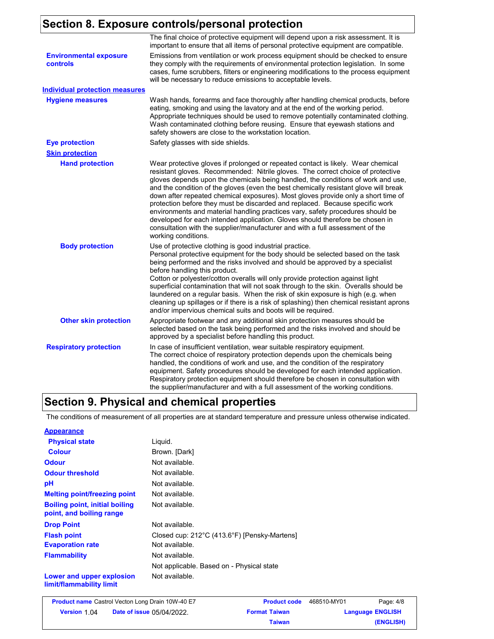# **Section 8. Exposure controls/personal protection**

|                                           | The final choice of protective equipment will depend upon a risk assessment. It is<br>important to ensure that all items of personal protective equipment are compatible.                                                                                                                                                                                                                                                                                                                                                                                                                                                                                                                                                                                                                       |
|-------------------------------------------|-------------------------------------------------------------------------------------------------------------------------------------------------------------------------------------------------------------------------------------------------------------------------------------------------------------------------------------------------------------------------------------------------------------------------------------------------------------------------------------------------------------------------------------------------------------------------------------------------------------------------------------------------------------------------------------------------------------------------------------------------------------------------------------------------|
| <b>Environmental exposure</b><br>controls | Emissions from ventilation or work process equipment should be checked to ensure<br>they comply with the requirements of environmental protection legislation. In some<br>cases, fume scrubbers, filters or engineering modifications to the process equipment<br>will be necessary to reduce emissions to acceptable levels.                                                                                                                                                                                                                                                                                                                                                                                                                                                                   |
| <b>Individual protection measures</b>     |                                                                                                                                                                                                                                                                                                                                                                                                                                                                                                                                                                                                                                                                                                                                                                                                 |
| <b>Hygiene measures</b>                   | Wash hands, forearms and face thoroughly after handling chemical products, before<br>eating, smoking and using the lavatory and at the end of the working period.<br>Appropriate techniques should be used to remove potentially contaminated clothing.<br>Wash contaminated clothing before reusing. Ensure that eyewash stations and<br>safety showers are close to the workstation location.                                                                                                                                                                                                                                                                                                                                                                                                 |
| <b>Eye protection</b>                     | Safety glasses with side shields.                                                                                                                                                                                                                                                                                                                                                                                                                                                                                                                                                                                                                                                                                                                                                               |
| <b>Skin protection</b>                    |                                                                                                                                                                                                                                                                                                                                                                                                                                                                                                                                                                                                                                                                                                                                                                                                 |
| <b>Hand protection</b>                    | Wear protective gloves if prolonged or repeated contact is likely. Wear chemical<br>resistant gloves. Recommended: Nitrile gloves. The correct choice of protective<br>gloves depends upon the chemicals being handled, the conditions of work and use,<br>and the condition of the gloves (even the best chemically resistant glove will break<br>down after repeated chemical exposures). Most gloves provide only a short time of<br>protection before they must be discarded and replaced. Because specific work<br>environments and material handling practices vary, safety procedures should be<br>developed for each intended application. Gloves should therefore be chosen in<br>consultation with the supplier/manufacturer and with a full assessment of the<br>working conditions. |
| <b>Body protection</b>                    | Use of protective clothing is good industrial practice.<br>Personal protective equipment for the body should be selected based on the task<br>being performed and the risks involved and should be approved by a specialist<br>before handling this product.<br>Cotton or polyester/cotton overalls will only provide protection against light<br>superficial contamination that will not soak through to the skin. Overalls should be<br>laundered on a regular basis. When the risk of skin exposure is high (e.g. when<br>cleaning up spillages or if there is a risk of splashing) then chemical resistant aprons<br>and/or impervious chemical suits and boots will be required.                                                                                                           |
| <b>Other skin protection</b>              | Appropriate footwear and any additional skin protection measures should be<br>selected based on the task being performed and the risks involved and should be<br>approved by a specialist before handling this product.                                                                                                                                                                                                                                                                                                                                                                                                                                                                                                                                                                         |
| <b>Respiratory protection</b>             | In case of insufficient ventilation, wear suitable respiratory equipment.<br>The correct choice of respiratory protection depends upon the chemicals being<br>handled, the conditions of work and use, and the condition of the respiratory<br>equipment. Safety procedures should be developed for each intended application.<br>Respiratory protection equipment should therefore be chosen in consultation with<br>the supplier/manufacturer and with a full assessment of the working conditions.                                                                                                                                                                                                                                                                                           |

### **Section 9. Physical and chemical properties**

The conditions of measurement of all properties are at standard temperature and pressure unless otherwise indicated.

| <b>Appearance</b>                                                 |                                              |
|-------------------------------------------------------------------|----------------------------------------------|
| <b>Physical state</b>                                             | Liguid.                                      |
| <b>Colour</b>                                                     | Brown. [Dark]                                |
| <b>Odour</b>                                                      | Not available.                               |
| <b>Odour threshold</b>                                            | Not available.                               |
| рH                                                                | Not available.                               |
| <b>Melting point/freezing point</b>                               | Not available.                               |
| <b>Boiling point, initial boiling</b><br>point, and boiling range | Not available.                               |
| <b>Drop Point</b>                                                 | Not available.                               |
| <b>Flash point</b>                                                | Closed cup: 212°C (413.6°F) [Pensky-Martens] |
| <b>Evaporation rate</b>                                           | Not available.                               |
| <b>Flammability</b>                                               | Not available.                               |
|                                                                   | Not applicable. Based on - Physical state    |
| Lower and upper explosion<br>limit/flammability limit             | Not available.                               |

|                     | <b>Product name</b> Castrol Vecton Long Drain 10W-40 E7 | <b>Product code</b>  | 468510-MY01 | Page: 4/8               |
|---------------------|---------------------------------------------------------|----------------------|-------------|-------------------------|
| <b>Version 1.04</b> | <b>Date of issue 05/04/2022.</b>                        | <b>Format Taiwan</b> |             | <b>Language ENGLISH</b> |
|                     |                                                         | Taiwan               |             | (ENGLISH)               |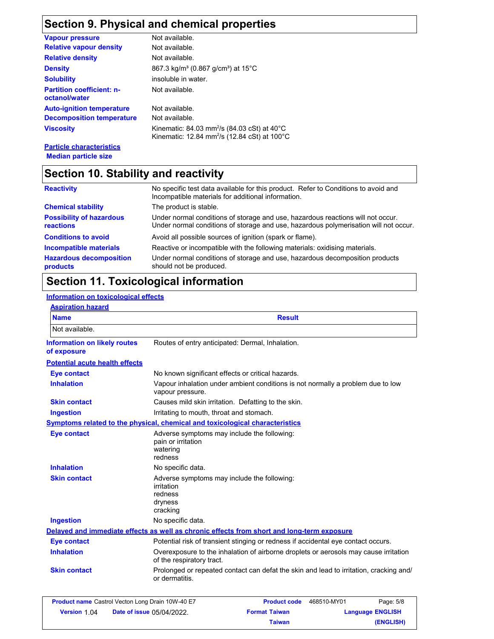### **Section 9. Physical and chemical properties**

| <b>Vapour pressure</b>                            | Not available.                                                                                                                            |
|---------------------------------------------------|-------------------------------------------------------------------------------------------------------------------------------------------|
| <b>Relative vapour density</b>                    | Not available.                                                                                                                            |
| <b>Relative density</b>                           | Not available.                                                                                                                            |
| <b>Density</b>                                    | 867.3 kg/m <sup>3</sup> (0.867 g/cm <sup>3</sup> ) at 15 <sup>°</sup> C                                                                   |
| <b>Solubility</b>                                 | insoluble in water.                                                                                                                       |
| <b>Partition coefficient: n-</b><br>octanol/water | Not available.                                                                                                                            |
| <b>Auto-ignition temperature</b>                  | Not available.                                                                                                                            |
| <b>Decomposition temperature</b>                  | Not available.                                                                                                                            |
| <b>Viscosity</b>                                  | Kinematic: 84.03 mm <sup>2</sup> /s (84.03 cSt) at 40 $^{\circ}$ C<br>Kinematic: 12.84 mm <sup>2</sup> /s (12.84 cSt) at 100 $^{\circ}$ C |
|                                                   |                                                                                                                                           |

**Particle characteristics Median particle size**

### **Section 10. Stability and reactivity**

| <b>Reactivity</b>                            | No specific test data available for this product. Refer to Conditions to avoid and<br>Incompatible materials for additional information.                                |
|----------------------------------------------|-------------------------------------------------------------------------------------------------------------------------------------------------------------------------|
| <b>Chemical stability</b>                    | The product is stable.                                                                                                                                                  |
| <b>Possibility of hazardous</b><br>reactions | Under normal conditions of storage and use, hazardous reactions will not occur.<br>Under normal conditions of storage and use, hazardous polymerisation will not occur. |
| <b>Conditions to avoid</b>                   | Avoid all possible sources of ignition (spark or flame).                                                                                                                |
| Incompatible materials                       | Reactive or incompatible with the following materials: oxidising materials.                                                                                             |
| <b>Hazardous decomposition</b><br>products   | Under normal conditions of storage and use, hazardous decomposition products<br>should not be produced.                                                                 |

### **Section 11. Toxicological information**

#### **Information on toxicological effects**

| <b>Name</b>                                                                                |                                                                                                                   | <b>Result</b>                                                                     |                                                                                        |
|--------------------------------------------------------------------------------------------|-------------------------------------------------------------------------------------------------------------------|-----------------------------------------------------------------------------------|----------------------------------------------------------------------------------------|
| Not available.                                                                             |                                                                                                                   |                                                                                   |                                                                                        |
| <b>Information on likely routes</b><br>of exposure                                         | Routes of entry anticipated: Dermal, Inhalation.                                                                  |                                                                                   |                                                                                        |
| <b>Potential acute health effects</b>                                                      |                                                                                                                   |                                                                                   |                                                                                        |
| <b>Eye contact</b>                                                                         | No known significant effects or critical hazards.                                                                 |                                                                                   |                                                                                        |
| <b>Inhalation</b>                                                                          | vapour pressure.                                                                                                  | Vapour inhalation under ambient conditions is not normally a problem due to low   |                                                                                        |
| <b>Skin contact</b>                                                                        | Causes mild skin irritation. Defatting to the skin.                                                               |                                                                                   |                                                                                        |
| <b>Ingestion</b>                                                                           | Irritating to mouth, throat and stomach.                                                                          |                                                                                   |                                                                                        |
| Symptoms related to the physical, chemical and toxicological characteristics               |                                                                                                                   |                                                                                   |                                                                                        |
| <b>Eye contact</b>                                                                         | Adverse symptoms may include the following:<br>pain or irritation<br>watering<br>redness                          |                                                                                   |                                                                                        |
| <b>Inhalation</b>                                                                          | No specific data.                                                                                                 |                                                                                   |                                                                                        |
| <b>Skin contact</b>                                                                        | Adverse symptoms may include the following:<br>irritation<br>redness<br>dryness<br>cracking                       |                                                                                   |                                                                                        |
| <b>Ingestion</b>                                                                           | No specific data.                                                                                                 |                                                                                   |                                                                                        |
| Delayed and immediate effects as well as chronic effects from short and long-term exposure |                                                                                                                   |                                                                                   |                                                                                        |
| <b>Eye contact</b>                                                                         |                                                                                                                   | Potential risk of transient stinging or redness if accidental eye contact occurs. |                                                                                        |
| <b>Inhalation</b>                                                                          | Overexposure to the inhalation of airborne droplets or aerosols may cause irritation<br>of the respiratory tract. |                                                                                   |                                                                                        |
| <b>Skin contact</b>                                                                        | or dermatitis.                                                                                                    |                                                                                   | Prolonged or repeated contact can defat the skin and lead to irritation, cracking and/ |
| <b>Product name</b> Castrol Vecton Long Drain 10W-40 E7                                    |                                                                                                                   | <b>Product code</b>                                                               | 468510-MY01<br>Page: 5/8                                                               |
| <b>Version 1.04</b>                                                                        | <b>Date of issue 05/04/2022.</b>                                                                                  | <b>Format Taiwan</b>                                                              | <b>Language ENGLISH</b>                                                                |

**Taiwan**

**(ENGLISH)**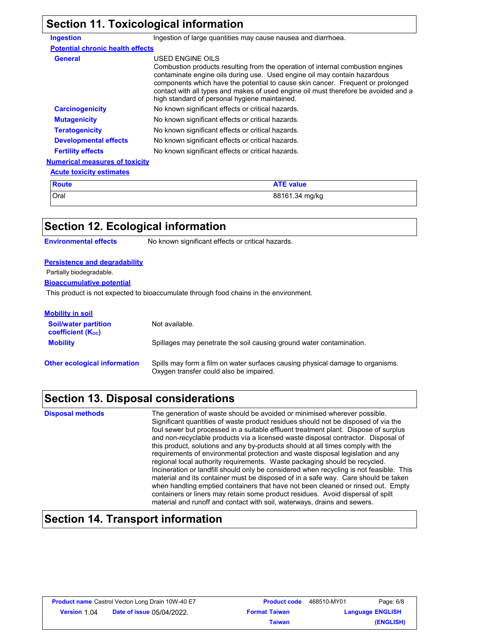# **Section 11. Toxicological information**

| <b>Ingestion</b>                        | Ingestion of large quantities may cause nausea and diarrhoea.                                                                                                                                                                                                                                                                                                                                               |
|-----------------------------------------|-------------------------------------------------------------------------------------------------------------------------------------------------------------------------------------------------------------------------------------------------------------------------------------------------------------------------------------------------------------------------------------------------------------|
| <b>Potential chronic health effects</b> |                                                                                                                                                                                                                                                                                                                                                                                                             |
| <b>General</b>                          | USED ENGINE OILS<br>Combustion products resulting from the operation of internal combustion engines<br>contaminate engine oils during use. Used engine oil may contain hazardous<br>components which have the potential to cause skin cancer. Frequent or prolonged<br>contact with all types and makes of used engine oil must therefore be avoided and a<br>high standard of personal hygiene maintained. |
| <b>Carcinogenicity</b>                  | No known significant effects or critical hazards.                                                                                                                                                                                                                                                                                                                                                           |
| <b>Mutagenicity</b>                     | No known significant effects or critical hazards.                                                                                                                                                                                                                                                                                                                                                           |
| <b>Teratogenicity</b>                   | No known significant effects or critical hazards.                                                                                                                                                                                                                                                                                                                                                           |
| <b>Developmental effects</b>            | No known significant effects or critical hazards.                                                                                                                                                                                                                                                                                                                                                           |
| <b>Fertility effects</b>                | No known significant effects or critical hazards.                                                                                                                                                                                                                                                                                                                                                           |
| <b>Numerical measures of toxicity</b>   |                                                                                                                                                                                                                                                                                                                                                                                                             |
| <b>Acute toxicity estimates</b>         |                                                                                                                                                                                                                                                                                                                                                                                                             |
| <b>Route</b>                            | <b>ATE value</b>                                                                                                                                                                                                                                                                                                                                                                                            |

| nvule | ALE VAIUS      |
|-------|----------------|
| Oral  | 88161.34 mg/kg |

| Section 12. Ecological information                                                    |                                                                                                                           |  |
|---------------------------------------------------------------------------------------|---------------------------------------------------------------------------------------------------------------------------|--|
| <b>Environmental effects</b>                                                          | No known significant effects or critical hazards.                                                                         |  |
|                                                                                       |                                                                                                                           |  |
| <b>Persistence and degradability</b>                                                  |                                                                                                                           |  |
| Partially biodegradable.                                                              |                                                                                                                           |  |
| <b>Bioaccumulative potential</b>                                                      |                                                                                                                           |  |
| This product is not expected to bioaccumulate through food chains in the environment. |                                                                                                                           |  |
| <b>Mobility in soil</b>                                                               |                                                                                                                           |  |
|                                                                                       |                                                                                                                           |  |
| <b>Soil/water partition</b><br><b>coefficient (Koc)</b>                               | Not available.                                                                                                            |  |
| <b>Mobility</b>                                                                       | Spillages may penetrate the soil causing ground water contamination.                                                      |  |
| <b>Other ecological information</b>                                                   | Spills may form a film on water surfaces causing physical damage to organisms.<br>Oxygen transfer could also be impaired. |  |

# **Section 13. Disposal considerations**

| <b>Disposal methods</b> | The generation of waste should be avoided or minimised wherever possible.<br>Significant quantities of waste product residues should not be disposed of via the<br>foul sewer but processed in a suitable effluent treatment plant. Dispose of surplus<br>and non-recyclable products via a licensed waste disposal contractor. Disposal of<br>this product, solutions and any by-products should at all times comply with the<br>requirements of environmental protection and waste disposal legislation and any<br>regional local authority requirements. Waste packaging should be recycled.<br>Incineration or landfill should only be considered when recycling is not feasible. This<br>material and its container must be disposed of in a safe way. Care should be taken<br>when handling emptied containers that have not been cleaned or rinsed out. Empty<br>containers or liners may retain some product residues. Avoid dispersal of spilt<br>material and runoff and contact with soil, waterways, drains and sewers. |
|-------------------------|-------------------------------------------------------------------------------------------------------------------------------------------------------------------------------------------------------------------------------------------------------------------------------------------------------------------------------------------------------------------------------------------------------------------------------------------------------------------------------------------------------------------------------------------------------------------------------------------------------------------------------------------------------------------------------------------------------------------------------------------------------------------------------------------------------------------------------------------------------------------------------------------------------------------------------------------------------------------------------------------------------------------------------------|
|-------------------------|-------------------------------------------------------------------------------------------------------------------------------------------------------------------------------------------------------------------------------------------------------------------------------------------------------------------------------------------------------------------------------------------------------------------------------------------------------------------------------------------------------------------------------------------------------------------------------------------------------------------------------------------------------------------------------------------------------------------------------------------------------------------------------------------------------------------------------------------------------------------------------------------------------------------------------------------------------------------------------------------------------------------------------------|

### **Section 14. Transport information**

| <b>Product name</b> Castrol Vecton Long Drain 10W-40 E7 |                                  | <b>Product code</b>  | 468510-MY01             | Page: 6/8 |
|---------------------------------------------------------|----------------------------------|----------------------|-------------------------|-----------|
| <b>Version 1.04</b>                                     | <b>Date of issue 05/04/2022.</b> | <b>Format Taiwan</b> | <b>Language ENGLISH</b> |           |
|                                                         |                                  | <b>Taiwan</b>        |                         | (ENGLISH) |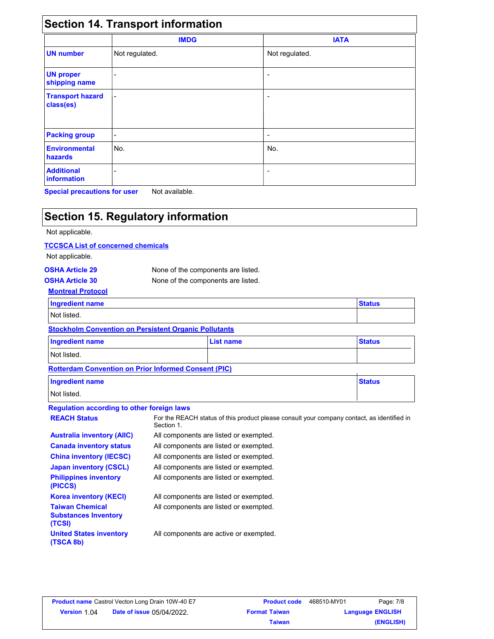|                                      | <b>Section 14. Transport information</b><br><b>IMDG</b> | <b>IATA</b>              |  |
|--------------------------------------|---------------------------------------------------------|--------------------------|--|
|                                      |                                                         |                          |  |
| <b>UN number</b>                     | Not regulated.                                          | Not regulated.           |  |
| <b>UN proper</b><br>shipping name    | -                                                       | $\overline{\phantom{a}}$ |  |
| <b>Transport hazard</b><br>class(es) | ۰                                                       | ۰                        |  |
| <b>Packing group</b>                 | -                                                       | $\overline{\phantom{a}}$ |  |
| <b>Environmental</b><br>hazards      | No.                                                     | No.                      |  |
| <b>Additional</b><br>information     |                                                         | $\overline{\phantom{a}}$ |  |

**Special precautions for user** Not available.

### **Section 15. Regulatory information**

#### Not applicable.

#### **TCCSCA List of concerned chemicals**

Not applicable.

| <b>OSHA Article 29</b> | None of the components are listed. |
|------------------------|------------------------------------|
| <b>OSHA Article 30</b> | None of the components are listed. |
|                        |                                    |

### **Montreal Protocol**

| <b>Ingredient name</b>                                        | <b>Status</b> |  |
|---------------------------------------------------------------|---------------|--|
| Not listed.                                                   |               |  |
| Otherlie also Openingstein am Baudettaut Openinia Ballistante |               |  |

| <b>SWOKHOMI CONVENTION ON FEISISTEM ORIGING FUNDIONS</b> |           |               |  |
|----------------------------------------------------------|-----------|---------------|--|
| <b>Ingredient name</b>                                   | List name | <b>Status</b> |  |
| Not listed.                                              |           |               |  |

#### **Rotterdam Convention on Prior Informed Consent (PIC)**

| <u>RUNG QUIRCHNON UNT NO MIUNING UUNGUN NI IU</u> |               |
|---------------------------------------------------|---------------|
| <b>Ingredient name</b>                            | <b>Status</b> |
| Not listed.                                       |               |

#### **Regulation according to other foreign laws**

| For the REACH status of this product please consult your company contact, as identified in<br><b>REACH Status</b><br>Section 1.<br><b>Australia inventory (AIIC)</b><br>All components are listed or exempted.<br><b>Canada inventory status</b><br>All components are listed or exempted.<br><b>China inventory (IECSC)</b><br>All components are listed or exempted.<br><b>Japan inventory (CSCL)</b><br>All components are listed or exempted.<br><b>Philippines inventory</b><br>All components are listed or exempted.<br>(PICCS)<br><b>Korea inventory (KECI)</b><br>All components are listed or exempted.<br><b>Taiwan Chemical</b><br>All components are listed or exempted.<br><b>Substances Inventory</b><br>(TCSI)<br><b>United States inventory</b><br>All components are active or exempted.<br>(TSCA 8b) |  |
|-------------------------------------------------------------------------------------------------------------------------------------------------------------------------------------------------------------------------------------------------------------------------------------------------------------------------------------------------------------------------------------------------------------------------------------------------------------------------------------------------------------------------------------------------------------------------------------------------------------------------------------------------------------------------------------------------------------------------------------------------------------------------------------------------------------------------|--|
|                                                                                                                                                                                                                                                                                                                                                                                                                                                                                                                                                                                                                                                                                                                                                                                                                         |  |
|                                                                                                                                                                                                                                                                                                                                                                                                                                                                                                                                                                                                                                                                                                                                                                                                                         |  |
|                                                                                                                                                                                                                                                                                                                                                                                                                                                                                                                                                                                                                                                                                                                                                                                                                         |  |
|                                                                                                                                                                                                                                                                                                                                                                                                                                                                                                                                                                                                                                                                                                                                                                                                                         |  |
|                                                                                                                                                                                                                                                                                                                                                                                                                                                                                                                                                                                                                                                                                                                                                                                                                         |  |
|                                                                                                                                                                                                                                                                                                                                                                                                                                                                                                                                                                                                                                                                                                                                                                                                                         |  |
|                                                                                                                                                                                                                                                                                                                                                                                                                                                                                                                                                                                                                                                                                                                                                                                                                         |  |
|                                                                                                                                                                                                                                                                                                                                                                                                                                                                                                                                                                                                                                                                                                                                                                                                                         |  |
|                                                                                                                                                                                                                                                                                                                                                                                                                                                                                                                                                                                                                                                                                                                                                                                                                         |  |